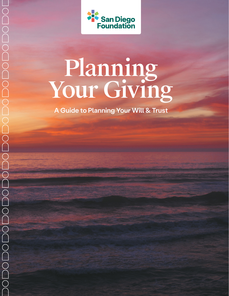

# Planning Your Giving

A Guide to Planning Your Will & Trust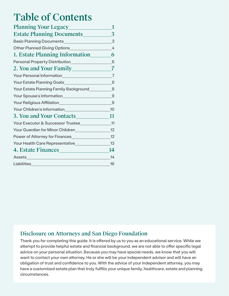# Table of Contents

| <b>Planning Your Legacy</b>                                |     |
|------------------------------------------------------------|-----|
| <b>Estate Planning Documents</b>                           | 3   |
| Basic Planning Documents_____________________              | 3   |
|                                                            | 4   |
| 1. Estate Planning Information                             | 6   |
| Personal Property Distribution_______________              | 6   |
|                                                            | 7   |
|                                                            | 7   |
| Your Estate Planning Goals________________________         | 8   |
| Your Estate Planning Family Background_________            | - 8 |
|                                                            | 9   |
|                                                            | - 9 |
| Your Children's Information<br>Sour Children's Information | 10  |
| 3. You and Your Contacts                                   | 11  |
| Your Executor & Successor Trustee                          | 11  |
| Your Guardian for Minor Children 12                        |     |
| Power of Attorney for Finances                             | 12  |
| Your Health Care Representative                            | 13  |
| 4. Estate Finances                                         | 14  |
|                                                            | 14  |
| Liabilities                                                | 16  |

#### Disclosure on Attorneys and San Diego Foundation

Thank you for completing this guide. It is offered by us to you as an educational service. While we attempt to provide helpful estate and financial background, we are not able to offer specific legal advice on your personal situation. Because you may have special needs, we know that you will want to contact your own attorney. He or she will be your independent advisor and will have an obligation of trust and confidence to you. With the advice of your independent attorney, you may have a customized estate plan that truly fulfills your unique family, healthcare, estate and planning circumstances.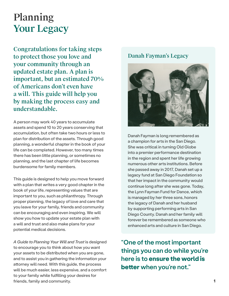# Planning Your Legacy

Congratulations for taking steps to protect those you love and your community through an updated estate plan. A plan is important, but an estimated 70% of Americans don't even have a will. This guide will help you by making the process easy and understandable.

A person may work 40 years to accumulate assets and spend 10 to 20 years conserving that accumulation, but often take two hours or less to plan for distribution of the assets. Through good planning, a wonderful chapter in the book of your life can be completed. However, too many times there has been little planning, or sometimes no planning, and the last chapter of life becomes burdensome for family members.

This guide is designed to help you move forward with a plan that writes a very good chapter in the book of your life, representing values that are important to you, such as philanthropy. Through proper planning, the legacy of love and care that you leave for your family, friends and community can be encouraging and even inspiring. We will show you how to update your estate plan with a will and trust and also make plans for your potential medical decisions.

*A Guide to Planning Your Will and Trust* is designed to encourage you to think about how you want your assets to be distributed when you are gone, and to assist you in gathering the information your attorney will need. With this guide, the process will be much easier, less expensive, and a comfort to your family while fulfilling your desires for friends, family and community.

#### Danah Fayman's Legacy



Danah Fayman is long remembered as a champion for arts in the San Diego. She was critical in turning Old Globe into a premier performance destination in the region and spent her life growing numerous other arts institutions. Before she passed away in 2017, Danah set up a legacy fund at San Diego Foundation so that her impact in the community would continue long after she was gone. Today, the Lynn Fayman Fund for Dance, which is managed by her three sons, honors the legacy of Danah and her husband by supporting performing arts in San Diego County. Danah and her family will forever be remembered as someone who enhanced arts and culture in San Diego.

"One of the most important things you can do while you're here is to **ensure the world is better** when you're not."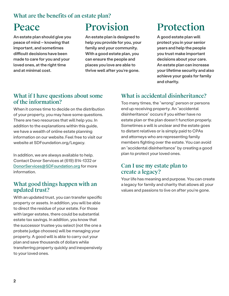### What are the benefits of an estate plan?

# Peace

An estate plan should give you peace of mind – knowing that important, and sometimes difficult decisions have been made to care for you and your loved ones, at the right time and at minimal cost.

# Provision

An estate plan is designed to help you provide for you, your family and your community. With a good estate plan, you can ensure the people and places you love are able to thrive well after you're gone.

# Protection

A good estate plan will protect you in your senior years and help the people you trust make important decisions about your care. An estate plan can increase your lifetime security and also achieve your goals for family and charity.

#### What if I have questions about some of the information?

When it comes time to decide on the distribution of your property, you may have some questions. There are two resources that will help you. In addition to the explanations within this guide, we have a wealth of online estate planning information on our website. Feel free to visit our website at [SDFoundation.org/](http://www.sdfoundation.org/legacy)Legacy.

In addition, we are always available to help. Contact Donor Services at (619) 814-1332 or [DonorServices@SDFoundation.org](mailto:DonorServices@SDFoundation.org) for more information.

#### What good things happen with an updated trust?

With an updated trust, you can transfer specific property or assets. In addition, you will be able to direct the residue of your estate. For those with larger estates, there could be substantial estate tax savings. In addition, you know that the successor trustee you select (not the one a probate judge chooses) will be managing your property. A good will is able to carry out your plan and save thousands of dollars while transferring property quickly and inexpensively to your loved ones.

## What is accidental disinheritance?

Too many times, the "wrong" person or persons end up receiving property. An "accidental disinheritance" occurs if you either have no estate plan or the plan doesn't function properly. Sometimes a will is unclear and the estate goes to distant relatives or is simply paid to CPAs and attorneys who are representing family members fighting over the estate. You can avoid an "accidental disinheritance" by creating a good plan to protect your loved ones.

#### Can I use my estate plan to create a legacy?

Your life has meaning and purpose. You can create a legacy for family and charity that allows all your values and passions to live on after you're gone.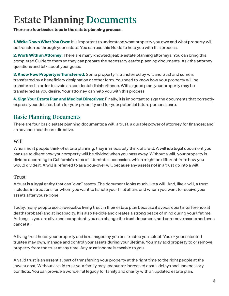# Estate Planning Documents

**There are four basic steps in the estate planning process.**

**1. Write Down What You Own:** It is important to understand what property you own and what property will be transferred through your estate. You can use this Guide to help you with this process.

**2. Work With an Attorney:** There are many knowledgeable estate planning attorneys. You can bring this completed Guide to them so they can prepare the necessary estate planning documents. Ask the attorney questions and talk about your goals.

**3. Know How Property is Transferred:** Some property is transferred by will and trust and some is transferred by a beneficiary designation or other form. You need to know how your property will be transferred in order to avoid an accidental disinheritance. With a good plan, your property may be transferred as you desire. Your attorney can help you with this process.

**4. Sign Your Estate Plan and Medical Directives:** Finally, it is important to sign the documents that correctly express your desires, both for your property and for your potential future personal care.

### Basic Planning Documents

There are four basic estate planning documents: a will, a trust, a durable power of attorney for finances; and an advance healthcare directive.

#### Will

When most people think of estate planning, they immediately think of a will. A will is a legal document you can use to direct how your property will be divided when you pass away. Without a will, your property is divided according to California's rules of interstate succession, which might be different from how you would divide it. A will is referred to as a pour-over will because any assets not in a trust go into a will.

#### Trust

A trust is a legal entity that can "own" assets. The document looks much like a will. And, like a will, a trust includes instructions for whom you want to handle your final affairs and whom you want to receive your assets after you're gone.

Today, many people use a revocable living trust in their estate plan because it avoids court interference at death (probate) and at incapacity. It is also flexible and creates a strong peace of mind during your lifetime. As long as you are alive and competent, you can change the trust document, add or remove assets and even cancel it.

A living trust holds your property and is managed by you or a trustee you select. You or your selected trustee may own, manage and control your assets during your lifetime. You may add property to or remove property from the trust at any time. Any trust income is taxable to you.

A valid trust is an essential part of transferring your property at the right time to the right people at the lowest cost. Without a valid trust your family may encounter increased costs, delays and unnecessary conflicts. You can provide a wonderful legacy for family and charity with an updated estate plan.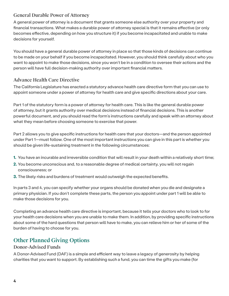#### General Durable Power of Attorney

A general power of attorney is a document that grants someone else authority over your property and financial transactions. What makes a durable power of attorney special is that it remains effective (or only becomes effective, depending on how you structure it) if you become incapacitated and unable to make decisions for yourself.

You should have a general durable power of attorney in place so that those kinds of decisions can continue to be made on your behalf if you become incapacitated. However, you should think carefully about who you want to appoint to make those decisions, since you won't be in a condition to oversee their actions and the person will have full decision-making authority over important financial matters.

#### Advance Health Care Directive

The California Legislature has enacted a statutory advance health care directive form that you can use to appoint someone under a power of attorney for health care and give specific directions about your care.

Part 1 of the statutory form is a power of attorney for health care. This is like the general durable power of attorney, but it grants authority over medical decisions instead of financial decisions. This is another powerful document, and you should read the form's instructions carefully and speak with an attorney about what they mean before choosing someone to exercise that power.

Part 2 allows you to give specific instructions for health care that your doctors—and the person appointed under Part 1—must follow. One of the most important instructions you can give in this part is whether you should be given life-sustaining treatment in the following circumstances:

- **1.** You have an incurable and irreversible condition that will result in your death within a relatively short time;
- **2.** You become unconscious and, to a reasonable degree of medical certainty, you will not regain consciousness; or
- **3.** The likely risks and burdens of treatment would outweigh the expected benefits.

In parts 3 and 4, you can specify whether your organs should be donated when you die and designate a primary physician. If you don't complete these parts, the person you appoint under part 1 will be able to make those decisions for you.

Completing an advance health care directive is important, because it tells your doctors who to look to for your health care decisions when you are unable to make them. In addition, by providing specific instructions about some of the hard questions that person will have to make, you can relieve him or her of some of the burden of having to choose for you.

# Other Planned Giving Options

#### Donor-Advised Funds

A Donor-Advised Fund (DAF) is a simple and efficient way to leave a legacy of generosity by helping charities that you want to support. By establishing such a fund, you can time the gifts you make (for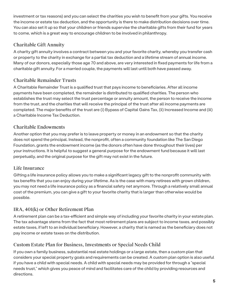investment or tax reasons) and you can select the charities you wish to benefit from your gifts. You receive the income or estate tax deduction, and the opportunity is there to make distribution decisions over time. You can also set it up so that your children or friends supervise the charitable gifts from their fund for years to come, which is a great way to encourage children to be involved in philanthropy.

### Charitable Gift Annuity

A charity gift annuity involves a contract between you and your favorite charity, whereby you transfer cash or property to the charity in exchange for a partial tax deduction and a lifetime stream of annual income. Many of our donors, especially those age 70 and above, are very interested in fixed payments for life from a charitable gift annuity. For a married couple, the payments will last until both have passed away.

#### Charitable Remainder Trusts

A Charitable Remainder Trust is a qualified trust that pays income to beneficiaries. After all income payments have been completed, the remainder is distributed to qualified charities. The person who establishes the trust may select the trust percentage or annuity amount, the person to receive the income from the trust, and the charities that will receive the principal of the trust after all income payments are completed. The major benefits of the trust are (i) Bypass of Capital Gains Tax, (ii) Increased Income and (iii) a Charitable Income Tax Deduction.

#### Charitable Endowments

Another option that you may prefer is to leave property or money in an endowment so that the charity does not spend the principal. Instead, the nonprofit, often a community foundation like The San Diego Foundation, grants the endowment income (as the donors often have done throughout their lives) per your instructions. It is helpful to suggest a general purpose for the endowment fund because it will last perpetually, and the original purpose for the gift may not exist in the future.

#### Life Insurance

Gifting a life insurance policy allows you to make a significant legacy gift to the nonprofit community with tax benefits that you can enjoy during your lifetime. As is the case with many retirees with grown children, you may not need a life insurance policy as a financial safety net anymore. Through a relatively small annual cost of the premium, you can give a gift to your favorite charity that is larger than otherwise would be possible.

#### IRA, 401(k) or Other Retirement Plan

A retirement plan can be a tax-efficient and simple way of including your favorite charity in your estate plan. The tax advantage stems from the fact that most retirement plans are subject to income taxes, and possibly estate taxes, if left to an individual beneficiary. However, a charity that is named as the beneficiary does not pay income or estate taxes on the distribution.

#### Custom Estate Plan for Business, Investments or Special Needs Child

If you own a family business, substantial real estate holdings or a large estate, then a custom plan that considers your special property goals and requirements can be created. A custom plan option is also useful if you have a child with special needs. A child with special needs may be provided for through a "special needs trust," which gives you peace of mind and facilitates care of the child by providing resources and directions.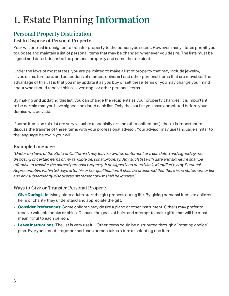# 1. Estate Planning Information

### Personal Property Distribution

#### List to Dispose of Personal Property

Your will or trust is designed to transfer property to the person you select. However, many states permit you to update and maintain a list of personal items that may be changed whenever you desire. The lists must be signed and dated, describe the personal property and name the recipient.

Under the laws of most states, you are permitted to make a list of property that may include jewelry, silver, china, furniture, and collections of stamps, coins, art and other personal items that are movable. The advantage of this list is that you may update it as you buy or sell these items or you may change your mind about who should receive china, silver, rings or other personal items.

By making and updating this list, you can change the recipients as your property changes. It is important to be certain that you have signed and dated each list. Only the last list you have completed before your demise will be valid.

If some items on this list are very valuable (especially art and other collections), then it is important to discuss the transfer of these items with your professional advisor. Your advisor may use language similar to the language below in your will.

#### Example Language

*"Under the laws of the State of California I may leave a written statement or a list, dated and signed by me, disposing of certain items of my tangible personal property. Any such list with date and signature shall be effective to transfer the named personal property. If no signed and dated list is identified by my Personal Representative within 30 days after his or her qualification, it shall be presumed that there is no statement or list and any subsequently discovered statement or list shall be ignored."*

#### Ways to Give or Transfer Personal Property

- **Give During Life:** Many older adults start the gift process during life. By giving personal items to children, heirs or charity they understand and appreciate the gift.
- **Consider Preferences:** Some children may desire a piano or other instrument. Others may prefer to receive valuable books or china. Discuss the goals of heirs and attempt to make gifts that will be most meaningful to each person.
- **Leave Instructions:** The list is very useful. Other items could be distributed through a "rotating choice" plan. Everyone meets together and each person takes a turn at selecting one item.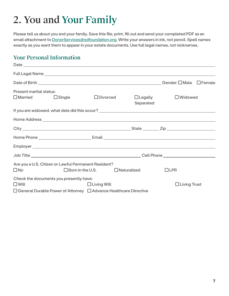# 2. You and Your Family

Please tell us about you and your family. Save this file, print, fill out and send your completed PDF as an email attachment to *DonorServices@sdfoundation.org*. Write your answers in ink, not pencil. Spell names exactly as you want them to appear in your estate documents. Use full legal names, not nicknames.

#### Your Personal Information

| Present marital status:                                            |                  |                                            |                 |                             |                |  |
|--------------------------------------------------------------------|------------------|--------------------------------------------|-----------------|-----------------------------|----------------|--|
| $\Box$ Married                                                     | $\square$ Single |                                            | $\Box$ Divorced | $\Box$ Legally<br>Separated | $\Box$ Widowed |  |
|                                                                    |                  |                                            |                 |                             |                |  |
|                                                                    |                  |                                            |                 |                             |                |  |
|                                                                    |                  |                                            |                 |                             |                |  |
|                                                                    |                  |                                            |                 |                             |                |  |
|                                                                    |                  |                                            |                 |                             |                |  |
|                                                                    |                  |                                            |                 |                             |                |  |
| Are you a U.S. Citizen or Lawful Permanent Resident?               |                  |                                            |                 |                             |                |  |
| $\square$ No                                                       |                  | $\Box$ Born in the U.S. $\Box$ Naturalized |                 |                             | $\Box$ LPR     |  |
| Check the documents you presently have:<br>$\Box$ Will             |                  | $\Box$ Living Will                         |                 |                             | □ Living Trust |  |
| □ General Durable Power of Attorney □ Advance Healthcare Directive |                  |                                            |                 |                             |                |  |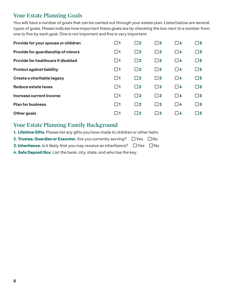### Your Estate Planning Goals

You will have a number of goals that can be carried out through your estate plan. Listed below are several types of goals. Please indicate how important these goals are by checking the box next to a number from one to five by each goal. One is not important and five is very important:

| Provide for your spouse or children       | $\square$ 1 | $\square$ 2 | $\square$ 3 | $\Box$ 4    | $\square$ 5 |
|-------------------------------------------|-------------|-------------|-------------|-------------|-------------|
| Provide for guardianship of minors        | $\Box$ 1    | $\square$ 2 | $\square$ 3 | $\square$ 4 | $\square$ 5 |
| <b>Provide for healthcare if disabled</b> | $\square$ 1 | $\square$ 2 | $\square$ 3 | $\square$ 4 | $\square$ 5 |
| <b>Protect against liability</b>          | $\Box$ 1    | $\square$ 2 | $\square$ 3 | $\Box$ 4    | $\square$ 5 |
| Create a charitable legacy                | $\Box$ 1    | $\Box$ 2    | $\square$ 3 | $\Box$ 4    | $\square$ 5 |
| Reduce estate taxes                       | $\Box$ 1    | $\Box$ 2    | $\square$ 3 | $\Box$ 4    | $\square$ 5 |
| Increase current income                   | $\Box$ 1    | $\square$ 2 | $\square$ 3 | $\Box$ 4    | $\square$ 5 |
| <b>Plan for business</b>                  | $\Box$ 1    | $\square$ 2 | $\square$ 3 | $\Box$ 4    | $\square$ 5 |
| <b>Other goals</b>                        | $\Box$ 1    | $\square$ 2 | □3          | $\Box$ 4    | $\Box$ 5    |

#### Your Estate Planning Family Background

**1. Lifetime Gifts.** Please list any gifts you have made to children or other heirs.

|  | 2. Trustee, Guardian or Executor. Are you currently serving? $\Box$ Yes $\Box$ No |  |
|--|-----------------------------------------------------------------------------------|--|
|  |                                                                                   |  |

**3. Inheritance.** Is it likely that you may receive an inheritance? □ Yes □ No

**4. Safe Deposit Box.** List the bank, city, state, and who has the key.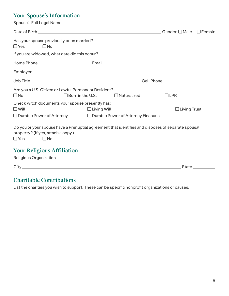### Your Spouse's Information

|                                                                        |                                                                                                                                            |                    |                     | $\Box$ Female |
|------------------------------------------------------------------------|--------------------------------------------------------------------------------------------------------------------------------------------|--------------------|---------------------|---------------|
| Has your spouse previously been married?<br>$\Box$ Yes<br>$\square$ No |                                                                                                                                            |                    |                     |               |
|                                                                        |                                                                                                                                            |                    |                     |               |
|                                                                        |                                                                                                                                            |                    |                     |               |
|                                                                        |                                                                                                                                            |                    |                     |               |
|                                                                        |                                                                                                                                            |                    |                     |               |
| $\square$ No                                                           | Are you a U.S. Citizen or Lawful Permanent Resident?<br>$\Box$ Born in the U.S.                                                            | $\Box$ Naturalized | $\Box$ LPR          |               |
| $\Box$ Will                                                            | Check witch documents your spouse presently has:<br>$\Box$ Living Will<br>□ Durable Power of Attorney □ Durable Power of Attorney Finances |                    | $\Box$ Living Trust |               |
| property? (If yes, attach a copy.)<br>$\Box$ Yes<br>$\square$ No       | Do you or your spouse have a Prenuptial agreement that identifies and disposes of separate spousal                                         |                    |                     |               |
| <b>Your Religious Affiliation</b>                                      |                                                                                                                                            |                    |                     |               |
|                                                                        |                                                                                                                                            |                    |                     |               |
|                                                                        |                                                                                                                                            |                    |                     |               |

# Charitable Contributions

List the charities you wish to support. These can be specific nonprofit organizations or causes.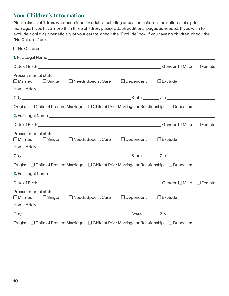### Your Children's Information

Please list all children, whether minors or adults, including deceased children and children of a prior marriage. If you have more than three children, please attach additional pages as needed. If you wish to exclude a child as a beneficiary of your estate, check the "Exclude" box. If you have no children, check the "No Children" box.

| □No Children                                                                               |                                 |                |  |
|--------------------------------------------------------------------------------------------|---------------------------------|----------------|--|
|                                                                                            |                                 |                |  |
|                                                                                            |                                 |                |  |
| Present marital status:<br>□ Married □ Single □ Needs Special Care                         | $\Box$ Dependent                | $\Box$ Exclude |  |
|                                                                                            |                                 |                |  |
| Origin: □ Child of Present Marriage □ Child of Prior Marriage or Relationship □ Deceased   |                                 |                |  |
|                                                                                            |                                 |                |  |
|                                                                                            |                                 |                |  |
| Present marital status:<br>□ Married □ Single □ Needs Special Care                         | $\Box$ Dependent $\Box$ Exclude |                |  |
|                                                                                            |                                 |                |  |
| Origin: □ Child of Present Marriage □ Child of Prior Marriage or Relationship □ Deceased   |                                 |                |  |
|                                                                                            |                                 |                |  |
|                                                                                            |                                 |                |  |
| Present marital status:<br>$\square$ Married $\square$ Single $\square$ Needs Special Care | $\Box$ Dependent                | $\Box$ Exclude |  |
|                                                                                            |                                 |                |  |
|                                                                                            |                                 |                |  |
| Origin: □ Child of Present Marriage □ Child of Prior Marriage or Relationship □ Deceased   |                                 |                |  |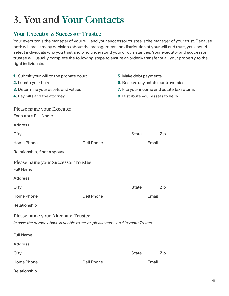# 3. You and Your Contacts

#### Your Executor & Successor Trustee

Your executor is the manager of your will and your successor trustee is the manager of your trust. Because both will make many decisions about the management and distribution of your will and trust, you should select individuals who you trust and who understand your circumstances. Your executor and successor trustee will usually complete the following steps to ensure an orderly transfer of all your property to the right individuals:

| 1. Submit your will to the probate court                                                                       | 5. Make debt payments               |                                            |  |
|----------------------------------------------------------------------------------------------------------------|-------------------------------------|--------------------------------------------|--|
| 2. Locate your heirs                                                                                           | 6. Resolve any estate controversies |                                            |  |
| 3. Determine your assets and values                                                                            |                                     | 7. File your income and estate tax returns |  |
| 4. Pay bills and the attorney                                                                                  | 8. Distribute your assets to heirs  |                                            |  |
| Please name your Executer                                                                                      |                                     |                                            |  |
|                                                                                                                |                                     |                                            |  |
|                                                                                                                |                                     |                                            |  |
|                                                                                                                |                                     |                                            |  |
| Home Phone _______________________Cell Phone _________________________Email __________________________________ |                                     |                                            |  |
|                                                                                                                |                                     |                                            |  |
| Please name your Successor Trustee                                                                             |                                     |                                            |  |
|                                                                                                                |                                     |                                            |  |
|                                                                                                                |                                     |                                            |  |
|                                                                                                                |                                     |                                            |  |
| Home Phone _______________________Cell Phone _________________________Email __________________________________ |                                     |                                            |  |
|                                                                                                                |                                     |                                            |  |
| Please name your Alternate Trustee                                                                             |                                     |                                            |  |
| In case the person above is unable to serve, please name an Alternate Trustee.                                 |                                     |                                            |  |
|                                                                                                                |                                     |                                            |  |
|                                                                                                                |                                     |                                            |  |
|                                                                                                                |                                     |                                            |  |
| Home Phone _______________________Cell Phone _________________________Email __________________________________ |                                     |                                            |  |
|                                                                                                                |                                     |                                            |  |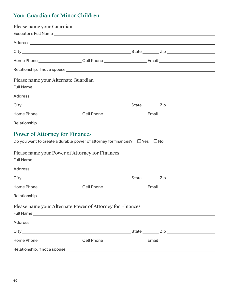# Your Guardian for Minor Children

| Please name your Guardian             |                                                                                                                                         |  |  |
|---------------------------------------|-----------------------------------------------------------------------------------------------------------------------------------------|--|--|
|                                       |                                                                                                                                         |  |  |
|                                       |                                                                                                                                         |  |  |
|                                       |                                                                                                                                         |  |  |
|                                       | Home Phone ________________________Cell Phone _________________________Email _________________________________                          |  |  |
|                                       |                                                                                                                                         |  |  |
| Please name your Alternate Guardian   |                                                                                                                                         |  |  |
|                                       |                                                                                                                                         |  |  |
|                                       |                                                                                                                                         |  |  |
|                                       | Home Phone ________________________Cell Phone _________________________Email _________________________________                          |  |  |
|                                       |                                                                                                                                         |  |  |
| <b>Power of Attorney for Finances</b> | Do you want to create a durable power of attorney for finances? $\Box$ Yes $\Box$ No<br>Please name your Power of Attorney for Finances |  |  |
|                                       |                                                                                                                                         |  |  |
|                                       |                                                                                                                                         |  |  |
|                                       |                                                                                                                                         |  |  |
|                                       | Home Phone _______________________Cell Phone _________________________Email __________________________________                          |  |  |
|                                       |                                                                                                                                         |  |  |
|                                       | Please name your Alternate Power of Attorney for Finances                                                                               |  |  |
|                                       |                                                                                                                                         |  |  |
|                                       |                                                                                                                                         |  |  |
|                                       |                                                                                                                                         |  |  |
|                                       |                                                                                                                                         |  |  |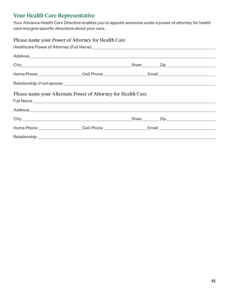### Your Health Care Representative

Your Advance Health Care Directive enables you to appoint someone under a power of attorney for health care and give specific directions about your care.

| Please name your Power of Attorney for Health Care           |                                                                                                                |  |
|--------------------------------------------------------------|----------------------------------------------------------------------------------------------------------------|--|
|                                                              |                                                                                                                |  |
|                                                              |                                                                                                                |  |
|                                                              |                                                                                                                |  |
|                                                              | Home Phone _______________________Cell Phone _________________________Email __________________________________ |  |
|                                                              |                                                                                                                |  |
| Please name your Alternate Power of Attorney for Health Care |                                                                                                                |  |
|                                                              |                                                                                                                |  |
|                                                              |                                                                                                                |  |
|                                                              |                                                                                                                |  |
|                                                              |                                                                                                                |  |
|                                                              |                                                                                                                |  |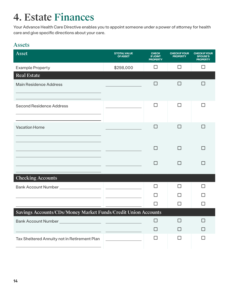# 4. Estate Finances

Your Advance Health Care Directive enables you to appoint someone under a power of attorney for health care and give specific directions about your care.

### Assets

| <b>Asset</b>                                                  | <b><i>STOTAL VALUE</i></b><br><b>OF ASSET</b> | <b>CHECK</b><br><b>IFJOINT</b><br><b>PROPERTY</b> | <b>CHECK IF YOUR</b><br><b>PROPERTY</b> | <b>CHECKIFYOUR</b><br><b>SPOUSE'S</b><br><b>PROPERTY</b> |
|---------------------------------------------------------------|-----------------------------------------------|---------------------------------------------------|-----------------------------------------|----------------------------------------------------------|
| <b>Example Property</b>                                       | \$298,000                                     | □                                                 | □                                       | П                                                        |
| <b>Real Estate</b>                                            |                                               |                                                   |                                         |                                                          |
| <b>Main Residence Address</b>                                 |                                               | П                                                 | ΙI                                      | $\Box$                                                   |
| <b>Second Residence Address</b>                               |                                               | П                                                 | П                                       |                                                          |
| <b>Vacation Home</b>                                          |                                               | $\Box$                                            | $\mathsf{L}$                            | $\mathsf{L}$                                             |
|                                                               |                                               | ΙI                                                | $\Box$                                  |                                                          |
|                                                               |                                               | П                                                 | H                                       |                                                          |
| <b>Checking Accounts</b>                                      |                                               |                                                   |                                         |                                                          |
|                                                               |                                               | ΙI                                                | ΙI                                      |                                                          |
|                                                               |                                               | ΙI                                                |                                         |                                                          |
|                                                               |                                               | П                                                 | H                                       | $\overline{\phantom{a}}$                                 |
| Savings Accounts/CDs/Money Market Funds/Credit Union Accounts |                                               |                                                   |                                         |                                                          |
|                                                               |                                               | □                                                 | $\mathsf{L}$                            | ΙI                                                       |
|                                                               |                                               | $\Box$                                            | □                                       | ⊔                                                        |
| Tax Sheltered Annuity not in Retirement Plan                  |                                               | $\Box$                                            | $\Box$                                  | □                                                        |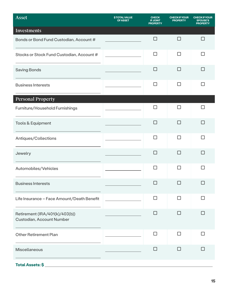| <b>Asset</b>                                                | <b><i>STOTAL VALUE</i></b><br><b>OF ASSET</b> | <b>CHECK</b><br><b>IFJOINT</b><br><b>PROPERTY</b> | <b>CHECK IF YOUR</b><br><b>PROPERTY</b> | <b>CHECK IF YOUR</b><br><b>SPOUSE'S</b><br><b>PROPERTY</b> |
|-------------------------------------------------------------|-----------------------------------------------|---------------------------------------------------|-----------------------------------------|------------------------------------------------------------|
| Investments                                                 |                                               |                                                   |                                         |                                                            |
| Bonds or Bond Fund Custodian, Account #                     |                                               | $\Box$                                            | ΙI                                      | ΙI                                                         |
| Stocks or Stock Fund Custodian, Account #                   |                                               | $\Box$                                            | П                                       | П                                                          |
| <b>Saving Bonds</b>                                         |                                               | $\Box$                                            | $\mathsf{L}$                            | $\mathsf{L}$                                               |
| <b>Business Interests</b>                                   |                                               | $\Box$                                            | П                                       | П                                                          |
| Personal Property                                           |                                               |                                                   |                                         |                                                            |
| Furniture/Household Furnishings                             |                                               | H                                                 | ΙI                                      |                                                            |
| Tools & Equipment                                           |                                               | П                                                 | П                                       | $\mathsf{L}$                                               |
| Antiques/Collections                                        |                                               | П                                                 | П                                       | ΙI                                                         |
| Jewelry                                                     |                                               | П                                                 | П                                       | П                                                          |
| Automobiles/Vehicles                                        |                                               | П                                                 | П                                       | П                                                          |
| <b>Business Interests</b>                                   |                                               |                                                   |                                         |                                                            |
| Life Insurance - Face Amount/Death Benefit                  |                                               | $\Box$                                            | $\Box$                                  | ΙI                                                         |
| Retirement (IRA/401(k)/403(b))<br>Custodian, Account Number |                                               | □                                                 | □                                       | П                                                          |
| <b>Other Retirement Plan</b>                                |                                               | $\Box$                                            | □                                       | П                                                          |
| Miscellaneous                                               |                                               | □                                                 | П                                       | П                                                          |
| <b>Total Assets: \$</b>                                     |                                               |                                                   |                                         |                                                            |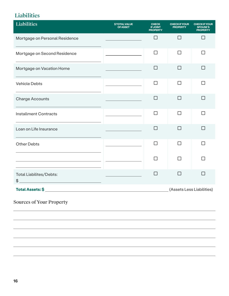### **Liabilities**

| <b>Liabilities</b>                        | <b><i>STOTAL VALUE</i></b><br><b>OF ASSET</b> | <b>CHECK</b><br><b>IFJOINT</b><br><b>PROPERTY</b> | <b>CHECK IF YOUR</b><br><b>PROPERTY</b> | <b>CHECK IF YOUR</b><br><b>SPOUSE'S</b><br><b>PROPERTY</b> |
|-------------------------------------------|-----------------------------------------------|---------------------------------------------------|-----------------------------------------|------------------------------------------------------------|
| Mortgage on Personal Residence            |                                               | П                                                 | $\Box$                                  | П                                                          |
| Mortgage on Second Residence              |                                               | $\Box$                                            | $\Box$                                  | П                                                          |
| Mortgage on Vacation Home                 |                                               | ΙI                                                | П                                       | $\mathsf{L}$                                               |
| <b>Vehicle Debts</b>                      |                                               | $\Box$                                            | $\Box$                                  | П                                                          |
| <b>Charge Accounts</b>                    |                                               | П                                                 | $\Box$                                  | □                                                          |
| <b>Installment Contracts</b>              |                                               | П                                                 | П                                       | П                                                          |
| Loan on Life Insurance                    |                                               | П                                                 | П                                       | П                                                          |
| <b>Other Debts</b>                        |                                               | П                                                 | П                                       | П                                                          |
|                                           |                                               | П                                                 | П                                       | П                                                          |
| <b>Total Liabilites/Debts:</b><br>$\oint$ |                                               | П                                                 | П                                       | П                                                          |
|                                           |                                               |                                                   | (Assets Less Liabilities)               |                                                            |
| <b>Sources of Your Property</b>           |                                               |                                                   |                                         |                                                            |